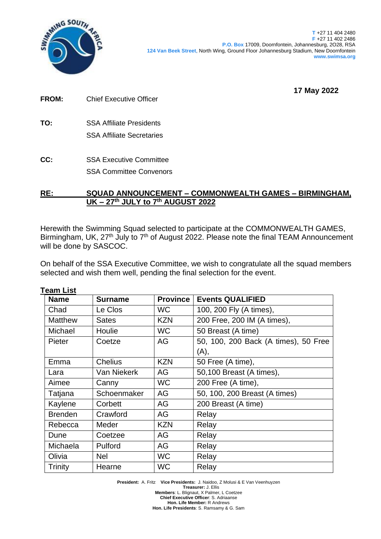

**T** +27 11 404 2480 **F** +27 11 402 2486 **P.O. Box** 17009, Doornfontein, Johannesburg, 2O28, RSA **124 Van Beek Street**, North Wing, Ground Floor Johannesburg Stadium, New Doornfontein **www.swimsa.org**

**17 May 2022**

| <b>FROM:</b> | <b>Chief Executive Officer</b> |
|--------------|--------------------------------|
|              |                                |

- **TO:** SSA Affiliate Presidents SSA Affiliate Secretaries
- **CC:** SSA Executive Committee SSA Committee Convenors

## **RE: SQUAD ANNOUNCEMENT – COMMONWEALTH GAMES – BIRMINGHAM, UK – 27th JULY to 7 th AUGUST 2022**

Herewith the Swimming Squad selected to participate at the COMMONWEALTH GAMES, Birmingham, UK, 27<sup>th</sup> July to 7<sup>th</sup> of August 2022. Please note the final TEAM Announcement will be done by SASCOC.

On behalf of the SSA Executive Committee, we wish to congratulate all the squad members selected and wish them well, pending the final selection for the event.

| <b>Team List</b> |                |                 |                                      |  |  |  |  |
|------------------|----------------|-----------------|--------------------------------------|--|--|--|--|
| <b>Name</b>      | <b>Surname</b> | <b>Province</b> | <b>Events QUALIFIED</b>              |  |  |  |  |
| Chad             | Le Clos        | WC.             | 100, 200 Fly (A times),              |  |  |  |  |
| <b>Matthew</b>   | <b>Sates</b>   | <b>KZN</b>      | 200 Free, 200 IM (A times),          |  |  |  |  |
| Michael          | Houlie         | <b>WC</b>       | 50 Breast (A time)                   |  |  |  |  |
| Pieter           | AG<br>Coetze   |                 | 50, 100, 200 Back (A times), 50 Free |  |  |  |  |
|                  |                |                 | (A),                                 |  |  |  |  |
| Emma             | <b>Chelius</b> | <b>KZN</b>      | 50 Free (A time),                    |  |  |  |  |
| Lara             | Van Niekerk    | AG              | 50,100 Breast (A times),             |  |  |  |  |
| Aimee            | Canny          | <b>WC</b>       | 200 Free (A time),                   |  |  |  |  |
| Tatjana          | Schoenmaker    | AG              | 50, 100, 200 Breast (A times)        |  |  |  |  |
| Kaylene          | Corbett        | AG              | 200 Breast (A time)                  |  |  |  |  |
| <b>Brenden</b>   | Crawford       | AG              | Relay                                |  |  |  |  |
| Rebecca          | Meder          | <b>KZN</b>      | Relay                                |  |  |  |  |
| Dune             | Coetzee        | AG              | Relay                                |  |  |  |  |
| Michaela         | Pulford        | AG              | Relay                                |  |  |  |  |
| Olivia           | <b>Nel</b>     | <b>WC</b>       | Relay                                |  |  |  |  |
| <b>Trinity</b>   | Hearne         | <b>WC</b>       | Relay                                |  |  |  |  |

**President:** A. Fritz **Vice Presidents:** J. Naidoo, Z Molusi & E Van Veenhuyzen **Treasurer:** J. Ellis **Members**: L. Blignaut, X Palmer, L Coetzee **Chief Executive Officer**: S. Adriaanse **Hon. Life Member:** R Andrews **Hon. Life Presidents**: S. Ramsamy & G. Sam